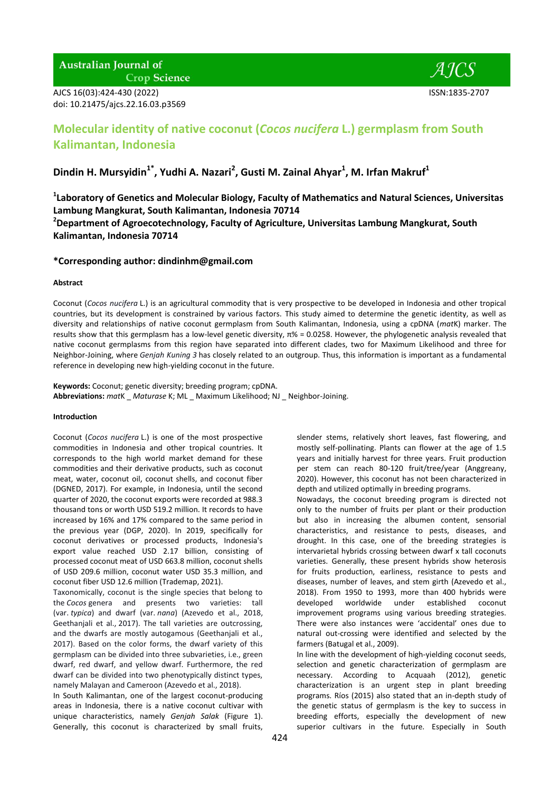# **Australian Journal of Crop Science**

AJCS 16(03):424-430 (2022) ISSN:1835-2707

# **Molecular identity of native coconut (***Cocos nucifera* **L.) germplasm from South Kalimantan, Indonesia**

# **Dindin H. Mursyidin1\*, Yudhi A. Nazari<sup>2</sup> , Gusti M. Zainal Ahyar<sup>1</sup> , M. Irfan Makruf<sup>1</sup>**

**1 Laboratory of Genetics and Molecular Biology, Faculty of Mathematics and Natural Sciences, Universitas Lambung Mangkurat, South Kalimantan, Indonesia 70714**

**<sup>2</sup>Department of Agroecotechnology, Faculty of Agriculture, Universitas Lambung Mangkurat, South Kalimantan, Indonesia 70714**

# **\*Corresponding author: dindinhm@gmail.com**

## **Abstract**

Coconut (*Cocos nucifera* L.) is an agricultural commodity that is very prospective to be developed in Indonesia and other tropical countries, but its development is constrained by various factors. This study aimed to determine the genetic identity, as well as diversity and relationships of native coconut germplasm from South Kalimantan, Indonesia, using a cpDNA (*mat*K) marker. The results show that this germplasm has a low-level genetic diversity, π% = 0.0258. However, the phylogenetic analysis revealed that native coconut germplasms from this region have separated into different clades, two for Maximum Likelihood and three for Neighbor-Joining, where *Genjah Kuning 3* has closely related to an outgroup. Thus, this information is important as a fundamental reference in developing new high-yielding coconut in the future.

**Keywords:** Coconut; genetic diversity; breeding program; cpDNA. **Abbreviations:** *mat*K \_ *Maturase* K; ML \_ Maximum Likelihood; NJ \_ Neighbor-Joining.

## **Introduction**

Coconut (*Cocos nucifera* L.) is one of the most prospective commodities in Indonesia and other tropical countries. It corresponds to the high world market demand for these commodities and their derivative products, such as coconut meat, water, coconut oil, coconut shells, and coconut fiber (DGNED, 2017). For example, in Indonesia, until the second quarter of 2020, the coconut exports were recorded at 988.3 thousand tons or worth USD 519.2 million. It records to have increased by 16% and 17% compared to the same period in the previous year (DGP, 2020). In 2019, specifically for coconut derivatives or processed products, Indonesia's export value reached USD 2.17 billion, consisting of processed coconut meat of USD 663.8 million, coconut shells of USD 209.6 million, coconut water USD 35.3 million, and coconut fiber USD 12.6 million (Trademap, 2021).

Taxonomically, coconut is the single species that belong to the *Cocos* genera and presents two varieties: tall (var. *typica*) and dwarf (var. *nana*) (Azevedo et al., 2018, Geethanjali et al., 2017). The tall varieties are outcrossing, and the dwarfs are mostly autogamous (Geethanjali et al., 2017). Based on the color forms, the dwarf variety of this germplasm can be divided into three subvarieties, i.e., green dwarf, red dwarf, and yellow dwarf. Furthermore, the red dwarf can be divided into two phenotypically distinct types, namely Malayan and Cameroon (Azevedo et al., 2018).

In South Kalimantan, one of the largest coconut-producing areas in Indonesia, there is a native coconut cultivar with unique characteristics, namely *Genjah Salak* (Figure 1). Generally, this coconut is characterized by small fruits,

slender stems, relatively short leaves, fast flowering, and mostly self-pollinating. Plants can flower at the age of 1.5 years and initially harvest for three years. Fruit production per stem can reach 80-120 fruit/tree/year (Anggreany, 2020). However, this coconut has not been characterized in depth and utilized optimally in breeding programs.

Nowadays, the coconut breeding program is directed not only to the number of fruits per plant or their production but also in increasing the albumen content, sensorial characteristics, and resistance to pests, diseases, and drought. In this case, one of the breeding strategies is intervarietal hybrids crossing between dwarf x tall coconuts varieties. Generally, these present hybrids show heterosis for fruits production, earliness, resistance to pests and diseases, number of leaves, and stem girth (Azevedo et al., 2018). From 1950 to 1993, more than 400 hybrids were developed worldwide under established coconut improvement programs using various breeding strategies. There were also instances were 'accidental' ones due to natural out-crossing were identified and selected by the farmers (Batugal et al., 2009).

In line with the development of high-yielding coconut seeds, selection and genetic characterization of germplasm are necessary. According to Acquaah (2012), genetic characterization is an urgent step in plant breeding programs. Ríos (2015) also stated that an in-depth study of the genetic status of germplasm is the key to success in breeding efforts, especially the development of new superior cultivars in the future. Especially in South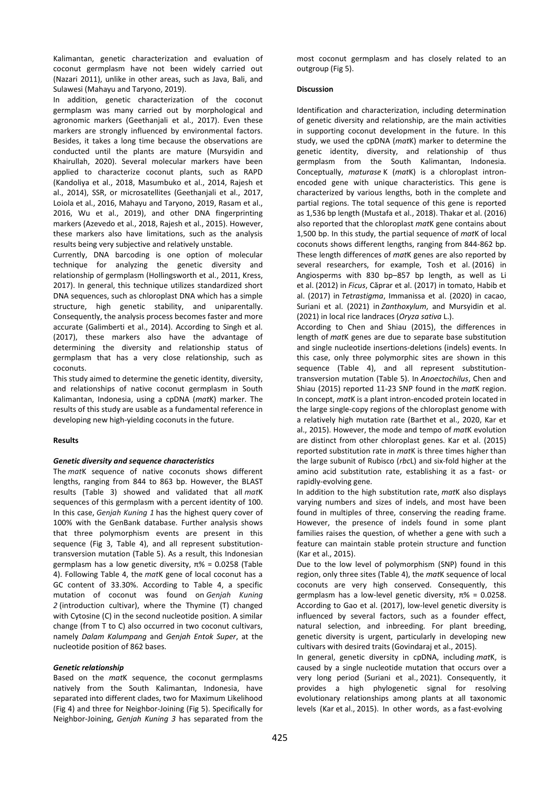Kalimantan, genetic characterization and evaluation of coconut germplasm have not been widely carried out (Nazari 2011), unlike in other areas, such as Java, Bali, and Sulawesi (Mahayu and Taryono, 2019).

In addition, genetic characterization of the coconut germplasm was many carried out by morphological and agronomic markers (Geethanjali et al., 2017). Even these markers are strongly influenced by environmental factors. Besides, it takes a long time because the observations are conducted until the plants are mature (Mursyidin and Khairullah, 2020). Several molecular markers have been applied to characterize coconut plants, such as RAPD (Kandoliya et al., 2018, Masumbuko et al., 2014, Rajesh et al., 2014), SSR, or microsatellites (Geethanjali et al., 2017, Loiola et al., 2016, Mahayu and Taryono, 2019, Rasam et al., 2016, Wu et al., 2019), and other DNA fingerprinting markers (Azevedo et al., 2018, Rajesh et al., 2015). However, these markers also have limitations, such as the analysis results being very subjective and relatively unstable.

Currently, DNA barcoding is one option of molecular technique for analyzing the genetic diversity and relationship of germplasm (Hollingsworth et al., 2011, Kress, 2017). In general, this technique utilizes standardized short DNA sequences, such as chloroplast DNA which has a simple structure, high genetic stability, and uniparentally. Consequently, the analysis process becomes faster and more accurate (Galimberti et al., 2014). According to Singh et al. (2017), these markers also have the advantage of determining the diversity and relationship status of germplasm that has a very close relationship, such as coconuts.

This study aimed to determine the genetic identity, diversity, and relationships of native coconut germplasm in South Kalimantan, Indonesia, using a cpDNA (*mat*K) marker. The results of this study are usable as a fundamental reference in developing new high-yielding coconuts in the future.

#### **Results**

#### *Genetic diversity and sequence characteristics*

The *mat*K sequence of native coconuts shows different lengths, ranging from 844 to 863 bp. However, the BLAST results (Table 3) showed and validated that all *mat*K sequences of this germplasm with a percent identity of 100. In this case, *Genjah Kuning 1* has the highest query cover of 100% with the GenBank database. Further analysis shows that three polymorphism events are present in this sequence (Fig 3, Table 4), and all represent substitutiontransversion mutation (Table 5). As a result, this Indonesian germplasm has a low genetic diversity, π% = 0.0258 (Table 4). Following Table 4, the *mat*K gene of local coconut has a GC content of 33.30%. According to Table 4, a specific mutation of coconut was found on *Genjah Kuning 2* (introduction cultivar), where the Thymine (T) changed with Cytosine (C) in the second nucleotide position. A similar change (from T to C) also occurred in two coconut cultivars, namely *Dalam Kalumpang* and *Genjah Entok Super*, at the nucleotide position of 862 bases.

#### *Genetic relationship*

Based on the *mat*K sequence, the coconut germplasms natively from the South Kalimantan, Indonesia, have separated into different clades, two for Maximum Likelihood (Fig 4) and three for Neighbor-Joining (Fig 5). Specifically for Neighbor-Joining, *Genjah Kuning 3* has separated from the most coconut germplasm and has closely related to an outgroup (Fig 5).

## **Discussion**

Identification and characterization, including determination of genetic diversity and relationship, are the main activities in supporting coconut development in the future. In this study, we used the cpDNA (*mat*K) marker to determine the genetic identity, diversity, and relationship of thus germplasm from the South Kalimantan, Indonesia. Conceptually, *maturase* K (*mat*K) is a chloroplast intronencoded gene with unique characteristics. This gene is characterized by various lengths, both in the complete and partial regions. The total sequence of this gene is reported as 1,536 bp length (Mustafa et al., 2018). Thakar et al. (2016) also reported that the chloroplast *mat*K gene contains about 1,500 bp. In this study, the partial sequence of *mat*K of local coconuts shows different lengths, ranging from 844-862 bp. These length differences of *mat*K genes are also reported by several researchers, for example, Tosh et al. (2016) in Angiosperms with 830 bp–857 bp length, as well as Li et al. (2012) in *Ficus*, Căprar et al. (2017) in tomato, Habib et al. (2017) in *Tetrastigma*, Immanissa et al. (2020) in cacao, Suriani et al. (2021) in *Zanthoxylum*, and Mursyidin et al. (2021) in local rice landraces (*Oryza sativa* L.).

According to Chen and Shiau (2015), the differences in length of *mat*K genes are due to separate base substitution and single nucleotide insertions-deletions (indels) events. In this case, only three polymorphic sites are shown in this sequence (Table 4), and all represent substitutiontransversion mutation (Table 5). In *Anoectochilus*, Chen and Shiau (2015) reported 11-23 SNP found in the *mat*K region. In concept, *mat*K is a plant intron-encoded protein located in the large single-copy regions of the chloroplast genome with a relatively high mutation rate (Barthet et al., 2020, Kar et al., 2015). However, the mode and tempo of *mat*K evolution are distinct from other chloroplast genes. Kar et al. (2015) reported substitution rate in *mat*K is three times higher than the large subunit of Rubisco (*rbc*L) and six-fold higher at the amino acid substitution rate, establishing it as a fast- or rapidly-evolving gene.

In addition to the high substitution rate, *mat*K also displays varying numbers and sizes of indels, and most have been found in multiples of three, conserving the reading frame. However, the presence of indels found in some plant families raises the question, of whether a gene with such a feature can maintain stable protein structure and function (Kar et al., 2015).

Due to the low level of polymorphism (SNP) found in this region, only three sites (Table 4), the *mat*K sequence of local coconuts are very high conserved. Consequently, this germplasm has a low-level genetic diversity, π% = 0.0258. According to Gao et al. (2017), low-level genetic diversity is influenced by several factors, such as a founder effect, natural selection, and inbreeding. For plant breeding, genetic diversity is urgent, particularly in developing new cultivars with desired traits (Govindaraj et al., 2015).

In general, genetic diversity in cpDNA, including *mat*K, is caused by a single nucleotide mutation that occurs over a very long period (Suriani et al., 2021). Consequently, it provides a high phylogenetic signal for resolving evolutionary relationships among plants at all taxonomic levels (Kar et al., 2015). In other words, as a fast-evolving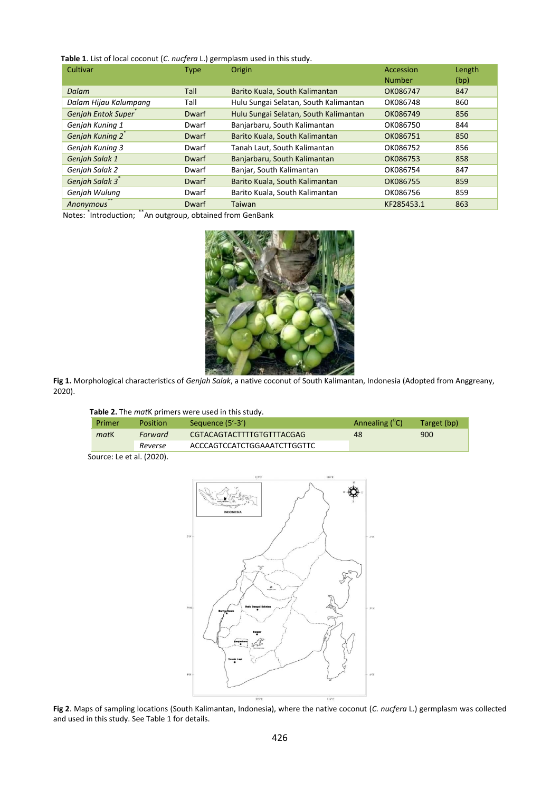# **Table 1**. List of local coconut (*C. nucfera* L.) germplasm used in this study.

| Cultivar                     | <b>Type</b>  | Origin                                | Accession<br><b>Number</b> | Length<br>(bp) |
|------------------------------|--------------|---------------------------------------|----------------------------|----------------|
| Dalam                        | Tall         | Barito Kuala, South Kalimantan        | OK086747                   | 847            |
| Dalam Hijau Kalumpang        | Tall         | Hulu Sungai Selatan, South Kalimantan | OK086748                   | 860            |
| Genjah Entok Super           | Dwarf        | Hulu Sungai Selatan, South Kalimantan | OK086749                   | 856            |
| Genjah Kuning 1              | Dwarf        | Banjarbaru, South Kalimantan          | OK086750                   | 844            |
| Genjah Kuning 2 <sup>*</sup> | <b>Dwarf</b> | Barito Kuala, South Kalimantan        | OK086751                   | 850            |
| Genjah Kuning 3              | Dwarf        | Tanah Laut, South Kalimantan          | OK086752                   | 856            |
| Genjah Salak 1               | Dwarf        | Banjarbaru, South Kalimantan          | OK086753                   | 858            |
| Genjah Salak 2               | Dwarf        | Banjar, South Kalimantan              | OK086754                   | 847            |
| Genjah Salak 3 <sup>*</sup>  | Dwarf        | Barito Kuala, South Kalimantan        | OK086755                   | 859            |
| Genjah Wulung                | Dwarf        | Barito Kuala, South Kalimantan        | OK086756                   | 859            |
| Anonymous                    | Dwarf        | Taiwan                                | KF285453.1                 | 863            |

Notes: \* Introduction; \*\*An outgroup, obtained from GenBank



**Fig 1.** Morphological characteristics of *Genjah Salak*, a native coconut of South Kalimantan, Indonesia (Adopted from Anggreany, 2020).

| Table 2. The matK primers were used in this study. |  |
|----------------------------------------------------|--|
|----------------------------------------------------|--|

| Primer | <b>Position</b> | Sequence (5'-3')            | Annealing (C) | Target (bp) |
|--------|-----------------|-----------------------------|---------------|-------------|
| matK   | Forward         | CGTACAGTACTTTTGTGTTTACGAG   | 48            | 900         |
|        | Reverse         | ACCCAGTCCATCTGGAAATCTTGGTTC |               |             |
|        |                 |                             |               |             |

Source: Le et al. (2020).



**Fig 2**. Maps of sampling locations (South Kalimantan, Indonesia), where the native coconut (*C. nucfera* L.) germplasm was collected and used in this study. See Table 1 for details.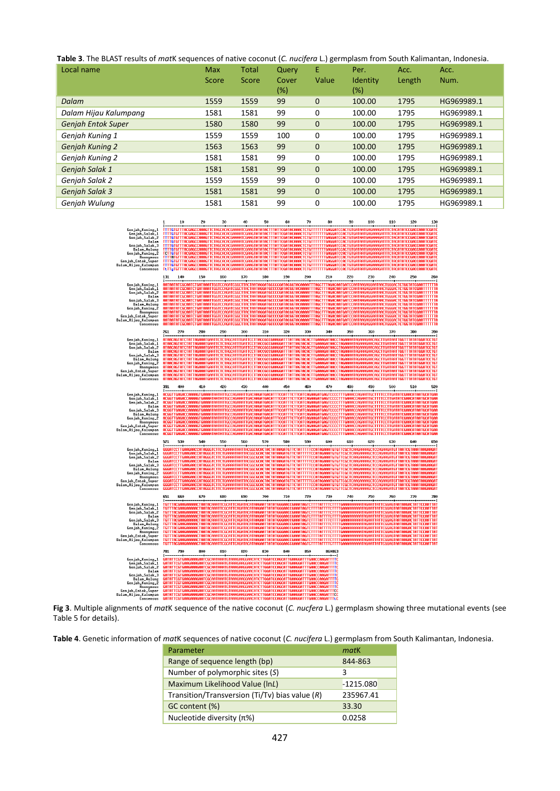**Table 3**. The BLAST results of *mat*K sequences of native coconut (*C. nucifera* L.) germplasm from South Kalimantan, Indonesia.

| Local name                | Max<br>Score | <b>Total</b><br>Score | Query<br>Cover<br>(%) | Е<br>Value  | Per.<br>Identity<br>(%) | Acc.<br>Length | Acc.<br>Num. |
|---------------------------|--------------|-----------------------|-----------------------|-------------|-------------------------|----------------|--------------|
| Dalam                     | 1559         | 1559                  | 99                    | $\mathbf 0$ | 100.00                  | 1795           | HG969989.1   |
| Dalam Hijau Kalumpang     | 1581         | 1581                  | 99                    | 0           | 100.00                  | 1795           | HG969989.1   |
| <b>Geniah Entok Super</b> | 1580         | 1580                  | 99                    | $\mathbf 0$ | 100.00                  | 1795           | HG969989.1   |
| Genjah Kuning 1           | 1559         | 1559                  | 100                   | 0           | 100.00                  | 1795           | HG969989.1   |
| <b>Genjah Kuning 2</b>    | 1563         | 1563                  | 99                    | $\mathbf 0$ | 100.00                  | 1795           | HG969989.1   |
| Genjah Kuning 2           | 1581         | 1581                  | 99                    | 0           | 100.00                  | 1795           | HG969989.1   |
| Genjah Salak 1            | 1581         | 1581                  | 99                    | $\mathbf 0$ | 100.00                  | 1795           | HG969989.1   |
| Genjah Salak 2            | 1559         | 1559                  | 99                    | 0           | 100.00                  | 1795           | HG969989.1   |
| Genjah Salak 3            | 1581         | 1581                  | 99                    | $\mathbf 0$ | 100.00                  | 1795           | HG969989.1   |
| Genjah Wulung             | 1581         | 1581                  | 99                    | 0           | 100.00                  | 1795           | HG969989.1   |



**Fig 3**. Multiple alignments of *mat*K sequence of the native coconut (*C. nucfera* L.) germplasm showing three mutational events (see Table 5 for details).

**Table 4**. Genetic information of *mat*K sequences of native coconut (*C. nucifera* L.) germplasm from South Kalimantan, Indonesia.

| Parameter                                        | matK        |
|--------------------------------------------------|-------------|
| Range of sequence length (bp)                    | 844-863     |
| Number of polymorphic sites (S)                  | 3           |
| Maximum Likelihood Value (InL)                   | $-1215.080$ |
| Transition/Transversion (Ti/Tv) bias value $(R)$ | 235967.41   |
| GC content (%)                                   | 33.30       |
| Nucleotide diversity $(π%)$                      | 0.0258      |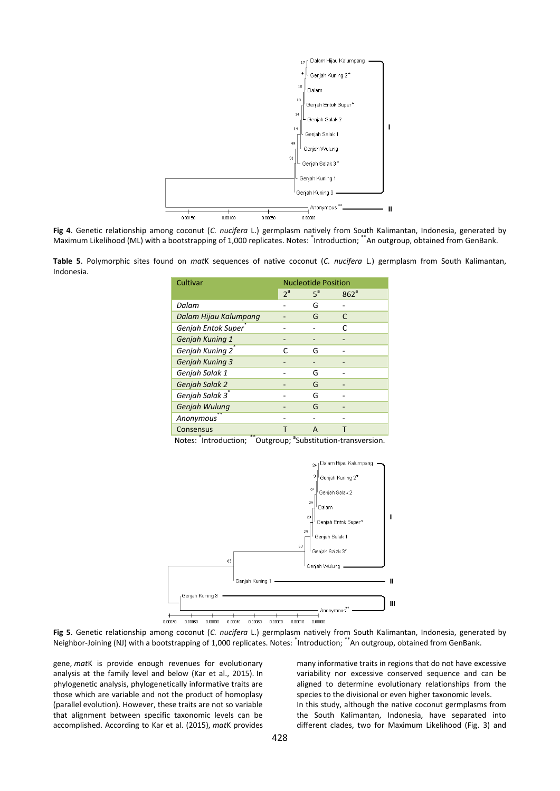

**Fig 4**. Genetic relationship among coconut (*C. nucifera* L.) germplasm natively from South Kalimantan, Indonesia, generated by Maximum Likelihood (ML) with a bootstrapping of 1,000 replicates. Notes: <sup>\*</sup>Introduction; \*\*An outgroup, obtained from GenBank.

**Table 5**. Polymorphic sites found on *mat*K sequences of native coconut (*C. nucifera* L.) germplasm from South Kalimantan, Indonesia.

| Cultivar                     | <b>Nucleotide Position</b> |       |                  |  |
|------------------------------|----------------------------|-------|------------------|--|
|                              | $2^a$                      | $5^a$ | 862 <sup>a</sup> |  |
| Dalam                        |                            | G     |                  |  |
| Dalam Hijau Kalumpang        |                            | G     | C                |  |
| Genjah Entok Super           |                            |       | C                |  |
| Genjah Kuning 1              |                            |       |                  |  |
| Genjah Kuning 2 <sup>7</sup> | C                          | G     |                  |  |
| <b>Genjah Kuning 3</b>       |                            |       |                  |  |
| Genjah Salak 1               |                            | G     |                  |  |
| Genjah Salak 2               |                            | G     |                  |  |
| Genjah Salak 3 <sup>*</sup>  |                            | G     |                  |  |
| Genjah Wulung                |                            | G     |                  |  |
| Anonymous                    |                            |       |                  |  |
| Consensus                    |                            | A     |                  |  |

Notes: <sup>\*</sup>Introduction; \*\*Outgroup; <sup>a</sup>Substitution-transversion.



**Fig 5**. Genetic relationship among coconut (*C. nucifera* L.) germplasm natively from South Kalimantan, Indonesia, generated by Neighbor-Joining (NJ) with a bootstrapping of 1,000 replicates. Notes: <sup>\*</sup>Introduction; \*\*An outgroup, obtained from GenBank.

gene, *mat*K is provide enough revenues for evolutionary analysis at the family level and below (Kar et al., 2015). In phylogenetic analysis, phylogenetically informative traits are those which are variable and not the product of homoplasy (parallel evolution). However, these traits are not so variable that alignment between specific taxonomic levels can be accomplished. According to Kar et al. (2015), *mat*K provides

many informative traits in regions that do not have excessive variability nor excessive conserved sequence and can be aligned to determine evolutionary relationships from the species to the divisional or even higher taxonomic levels. In this study, although the native coconut germplasms from the South Kalimantan, Indonesia, have separated into different clades, two for Maximum Likelihood (Fig. 3) and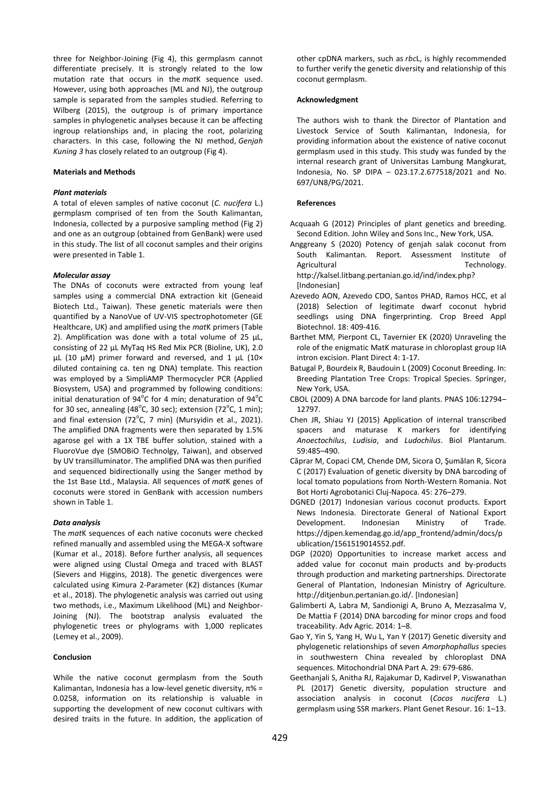three for Neighbor-Joining (Fig 4), this germplasm cannot differentiate precisely. It is strongly related to the low mutation rate that occurs in the *mat*K sequence used. However, using both approaches (ML and NJ), the outgroup sample is separated from the samples studied. Referring to Wilberg (2015), the outgroup is of primary importance samples in phylogenetic analyses because it can be affecting ingroup relationships and, in placing the root, polarizing characters. In this case, following the NJ method, *Genjah Kuning 3* has closely related to an outgroup (Fig 4).

#### **Materials and Methods**

## *Plant materials*

A total of eleven samples of native coconut (*C. nucifera* L.) germplasm comprised of ten from the South Kalimantan, Indonesia, collected by a purposive sampling method (Fig 2) and one as an outgroup (obtained from GenBank) were used in this study. The list of all coconut samples and their origins were presented in Table 1.

#### *Molecular assay*

The DNAs of coconuts were extracted from young leaf samples using a commercial DNA extraction kit (Geneaid Biotech Ltd., Taiwan). These genetic materials were then quantified by a NanoVue of UV-VIS spectrophotometer (GE Healthcare, UK) and amplified using the *mat*K primers (Table 2). Amplification was done with a total volume of 25  $\mu$ L, consisting of 22 µL MyTaq HS Red Mix PCR (Bioline, UK), 2.0  $\mu$ L (10  $\mu$ M) primer forward and reversed, and 1  $\mu$ L (10× diluted containing ca. ten ng DNA) template. This reaction was employed by a SimpliAMP Thermocycler PCR (Applied Biosystem, USA) and programmed by following conditions: initial denaturation of  $94^{\circ}$ C for 4 min; denaturation of  $94^{\circ}$ C for 30 sec, annealing (48 $^{\circ}$ C, 30 sec); extension (72 $^{\circ}$ C, 1 min); and final extension ( $72^{\circ}$ C, 7 min) (Mursyidin et al., 2021). The amplified DNA fragments were then separated by 1.5% agarose gel with a 1X TBE buffer solution, stained with a FluoroVue dye (SMOBiO Technolgy, Taiwan), and observed by UV transilluminator. The amplified DNA was then purified and sequenced bidirectionally using the Sanger method by the 1st Base Ltd., Malaysia. All sequences of *mat*K genes of coconuts were stored in GenBank with accession numbers shown in Table 1.

### *Data analysis*

The *mat*K sequences of each native coconuts were checked refined manually and assembled using the MEGA-X software (Kumar et al., 2018). Before further analysis, all sequences were aligned using Clustal Omega and traced with BLAST (Sievers and Higgins, 2018). The genetic divergences were calculated using Kimura 2-Parameter (K2) distances (Kumar et al., 2018). The phylogenetic analysis was carried out using two methods, i.e., Maximum Likelihood (ML) and Neighbor-Joining (NJ). The bootstrap analysis evaluated the phylogenetic trees or phylograms with 1,000 replicates (Lemey et al., 2009).

## **Conclusion**

While the native coconut germplasm from the South Kalimantan, Indonesia has a low-level genetic diversity, π% = 0.0258, information on its relationship is valuable in supporting the development of new coconut cultivars with desired traits in the future. In addition, the application of other cpDNA markers, such as *rbc*L, is highly recommended to further verify the genetic diversity and relationship of this coconut germplasm.

#### **Acknowledgment**

The authors wish to thank the Director of Plantation and Livestock Service of South Kalimantan, Indonesia, for providing information about the existence of native coconut germplasm used in this study. This study was funded by the internal research grant of Universitas Lambung Mangkurat, Indonesia, No. SP DIPA – 023.17.2.677518/2021 and No. 697/UN8/PG/2021.

#### **References**

- Acquaah G (2012) Principles of plant genetics and breeding. Second Edition. John Wiley and Sons Inc., New York, USA.
- Anggreany S (2020) Potency of genjah salak coconut from South Kalimantan. Report. Assessment Institute of Agricultural **Agricultural** Technology. [http://kalsel.litbang.pertanian.go.id/ind/index.php?](http://kalsel.litbang.pertanian.go.id/ind/index.php?option) [Indonesian]
- Azevedo AON, Azevedo CDO, Santos PHAD, Ramos HCC, et al (2018) Selection of legitimate dwarf coconut hybrid seedlings using DNA fingerprinting. Crop Breed Appl Biotechnol. 18: 409-416.
- Barthet MM, Pierpont CL, Tavernier EK (2020) Unraveling the role of the enigmatic MatK maturase in chloroplast group IIA intron excision. Plant Direct 4: 1-17.
- Batugal P, Bourdeix R, Baudouin L (2009) Coconut Breeding. In: Breeding Plantation Tree Crops: Tropical Species. Springer, New York, USA.
- CBOL (2009) A DNA barcode for land plants. PNAS 106:12794– 12797.
- Chen JR, Shiau YJ (2015) Application of internal transcribed<br>spacers and maturase K markers for identifying spacers and maturase K markers for *Anoectochilus*, *Ludisia*, and *Ludochilus*. Biol Plantarum. 59:485–490.
- Căprar M, Copaci CM, Chende DM, Sicora O, Şumălan R, Sicora C (2017) Evaluation of genetic diversity by DNA barcoding of local tomato populations from North-Western Romania. Not Bot Horti Agrobotanici Cluj-Napoca. 45: 276–279.
- DGNED (2017) Indonesian various coconut products. Export News Indonesia. Directorate General of National Export Development. Indonesian Ministry of Trade. https://djpen.kemendag.go.id/app\_frontend/admin/docs/p ublication/1561519014552.pdf.
- DGP (2020) Opportunities to increase market access and added value for coconut main products and by-products through production and marketing partnerships. Directorate General of Plantation, Indonesian Ministry of Agriculture. http://ditjenbun.pertanian.go.id/. [Indonesian]
- Galimberti A, Labra M, Sandionigi A, Bruno A, Mezzasalma V, De Mattia F (2014) DNA barcoding for minor crops and food traceability. Adv Agric. 2014: 1–8.
- Gao Y, Yin S, Yang H, Wu L, Yan Y (2017) Genetic diversity and phylogenetic relationships of seven *Amorphophallus* species in southwestern China revealed by chloroplast DNA sequences. Mitochondrial DNA Part A. 29: 679-686.
- Geethanjali S, Anitha RJ, Rajakumar D, Kadirvel P, Viswanathan PL (2017) Genetic diversity, population structure and association analysis in coconut (*Cocos nucifera* L.) germplasm using SSR markers. Plant Genet Resour. 16: 1–13.